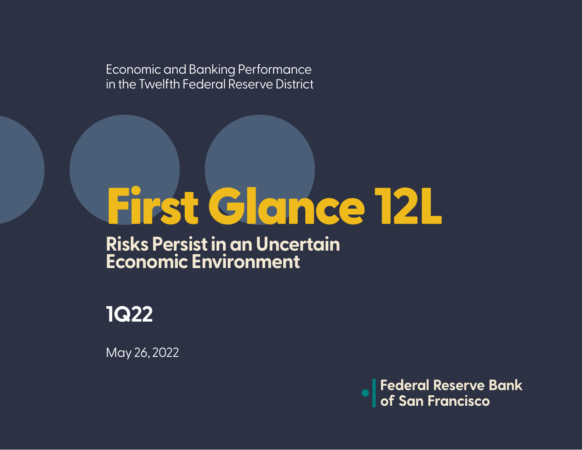Economic and Banking Performance in the Twelfth Federal Reserve District

# First Glance 12L

**Risks Persist in an Uncertain Economic Environment**



May 26, 2022

**Federal Reserve Bank**<br>of San Francisco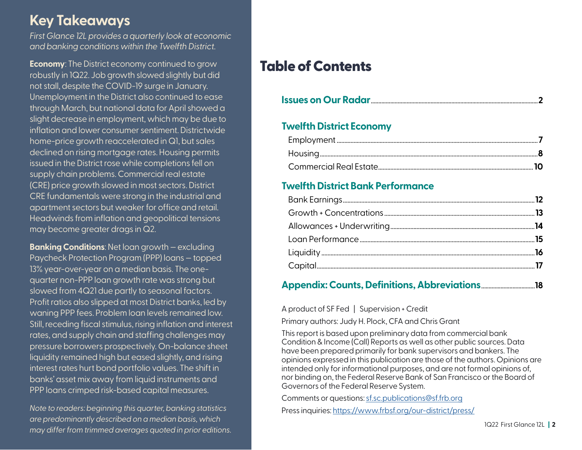## **Key Takeaways**

*First Glance 12L provides a quarterly look at economic and banking conditions within the Twelfth District.* 

**Economy:** The District economy continued to grow robustly in 1Q22. Job growth slowed slightly but did not stall, despite the COVID-19 surge in January. Unemployment in the District also continued to ease through March, but national data for April showed a slight decrease in employment, which may be due to inflation and lower consumer sentiment. Districtwide home-price growth reaccelerated in Q1, but sales declined on rising mortgage rates. Housing permits issued in the District rose while completions fell on supply chain problems. Commercial real estate (CRE) price growth slowed in most sectors. District CRE fundamentals were strong in the industrial and apartment sectors but weaker for office and retail. Headwinds from inflation and geopolitical tensions may become greater drags in Q2.

**Banking Conditions**: Net loan growth — excluding Paycheck Protection Program (PPP) loans — topped 13% year-over-year on a median basis. The onequarter non-PPP loan growth rate was strong but slowed from 4Q21 due partly to seasonal factors. Profit ratios also slipped at most District banks, led by waning PPP fees. Problem loan levels remained low. Still, receding fiscal stimulus, rising inflation and interest rates, and supply chain and staffing challenges may pressure borrowers prospectively. On-balance sheet liquidity remained high but eased slightly, and rising interest rates hurt bond portfolio values. The shift in banks' asset mix away from liquid instruments and PPP loans crimped risk-based capital measures.

*Note to readers: beginning this quarter, banking statistics are predominantly described on a median basis, which may differ from trimmed averages quoted in prior editions.*

## Table of Contents

|--|--|

#### **Twelfth District Economy**

#### **Twelfth District Bank Performance**

#### **Appendix: Counts, Definitions, Abbreviations**....................................**18**

A product of SF Fed | Supervision + Credit

Primary authors: Judy H. Plock, CFA and Chris Grant

This report is based upon preliminary data from commercial bank Condition & Income (Call) Reports as well as other public sources. Data have been prepared primarily for bank supervisors and bankers. The opinions expressed in this publication are those of the authors. Opinions are intended only for informational purposes, and are not formal opinions of, nor binding on, the Federal Reserve Bank of San Francisco or the Board of Governors of the Federal Reserve System.

Comments or questions: [sf.sc.publications@sf.frb.org](mailto:sf.sc.publications%40sf.frb.org?subject=First%20Glance%2012L%20Comment%20or%20Question)

Press inquiries:<https://www.frbsf.org/our-district/press/>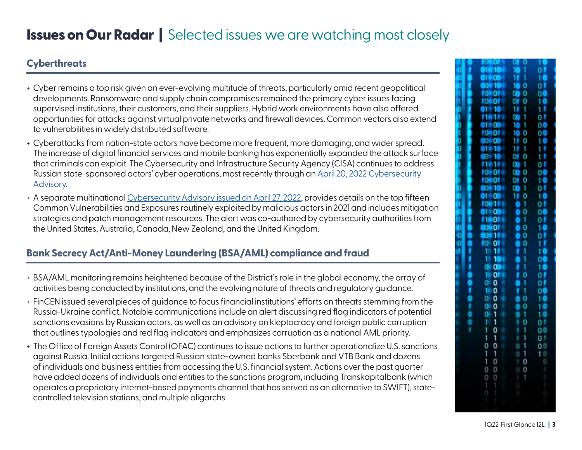#### **Cyberthreats**

- + Cyber remains a top risk given an ever-evolving multitude of threats, particularly amid recent geopolitical developments. Ransomware and supply chain compromises remained the primary cyber issues facing supervised institutions, their customers, and their suppliers. Hybrid work environments have also offered opportunities for attacks against virtual private networks and firewall devices. Common vectors also extend to vulnerabilities in widely distributed software.
- + Cyberattacks from nation-state actors have become more frequent, more damaging, and wider spread. The increase of digital financial services and mobile banking has exponentially expanded the attack surface that criminals can exploit. The Cybersecurity and Infrastructure Security Agency (CISA) continues to address Russian state-sponsored actors' cyber operations, most recently through an [April 20, 2022 Cybersecurity](https://www.cisa.gov/uscert/ncas/alerts/aa22-110a)  [Advisory.](https://www.cisa.gov/uscert/ncas/alerts/aa22-110a)
- + A separate multinational [Cybersecurity Advisory issued on April 27, 2022,](https://www.cisa.gov/uscert/ncas/alerts/aa22-117a) provides details on the top fifteen Common Vulnerabilities and Exposures routinely exploited by malicious actors in 2021 and includes mitigation strategies and patch management resources. The alert was co-authored by cybersecurity authorities from the United States, Australia, Canada, New Zealand, and the United Kingdom.

#### **Bank Secrecy Act/Anti-Money Laundering (BSA/AML) compliance and fraud**

- + BSA/AML monitoring remains heightened because of the District's role in the global economy, the array of activities being conducted by institutions, and the evolving nature of threats and regulatory guidance.
- + FinCEN issued several pieces of guidance to focus financial institutions' efforts on threats stemming from the Russia-Ukraine conflict. Notable communications include an alert discussing red flag indicators of potential sanctions evasions by Russian actors, as well as an advisory on kleptocracy and foreign public corruption that outlines typologies and red flag indicators and emphasizes corruption as a national AML priority.
- + The Office of Foreign Assets Control (OFAC) continues to issue actions to further operationalize U.S. sanctions against Russia. Initial actions targeted Russian state-owned banks Sberbank and VTB Bank and dozens of individuals and business entities from accessing the U.S. financial system. Actions over the past quarter have added dozens of individuals and entities to the sanctions program, including Transkapitalbank (which operates a proprietary internet-based payments channel that has served as an alternative to SWIFT), statecontrolled television stations, and multiple oligarchs.

|  | ī<br>1<br>c                                |                                           |  |
|--|--------------------------------------------|-------------------------------------------|--|
|  | ŏ1<br>$\frac{0}{10}$                       |                                           |  |
|  |                                            |                                           |  |
|  | 000000110100010010010011000110001100011000 |                                           |  |
|  |                                            |                                           |  |
|  |                                            |                                           |  |
|  |                                            |                                           |  |
|  |                                            |                                           |  |
|  |                                            |                                           |  |
|  |                                            |                                           |  |
|  |                                            |                                           |  |
|  |                                            |                                           |  |
|  |                                            |                                           |  |
|  |                                            |                                           |  |
|  |                                            |                                           |  |
|  |                                            |                                           |  |
|  |                                            |                                           |  |
|  |                                            |                                           |  |
|  |                                            |                                           |  |
|  |                                            |                                           |  |
|  |                                            |                                           |  |
|  | 60                                         |                                           |  |
|  |                                            |                                           |  |
|  |                                            |                                           |  |
|  |                                            |                                           |  |
|  |                                            |                                           |  |
|  |                                            |                                           |  |
|  |                                            |                                           |  |
|  |                                            |                                           |  |
|  |                                            |                                           |  |
|  |                                            |                                           |  |
|  |                                            |                                           |  |
|  |                                            |                                           |  |
|  |                                            |                                           |  |
|  |                                            |                                           |  |
|  |                                            |                                           |  |
|  |                                            |                                           |  |
|  | 01000001110110010                          | 11000111100101001010100011101100101111001 |  |
|  |                                            |                                           |  |
|  |                                            |                                           |  |
|  |                                            |                                           |  |
|  |                                            |                                           |  |
|  |                                            |                                           |  |
|  |                                            |                                           |  |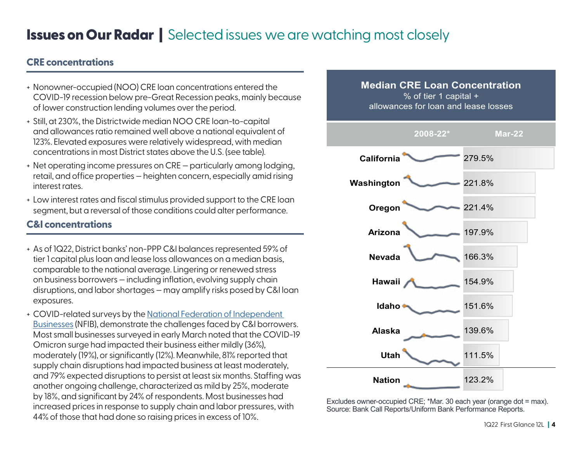#### **CRE concentrations**

- + Nonowner-occupied (NOO) CRE loan concentrations entered the COVID-19 recession below pre-Great Recession peaks, mainly because of lower construction lending volumes over the period.
- + Still, at 230%, the Districtwide median NOO CRE loan-to-capital and allowances ratio remained well above a national equivalent of 123%. Elevated exposures were relatively widespread, with median concentrations in most District states above the U.S. (see table).
- + Net operating income pressures on CRE particularly among lodging, retail, and office properties — heighten concern, especially amid rising interest rates.
- + Low interest rates and fiscal stimulus provided support to the CRE loan segment, but a reversal of those conditions could alter performance.

#### **C&I concentrations**

- + As of 1Q22, District banks' non-PPP C&I balances represented 59% of tier 1 capital plus loan and lease loss allowances on a median basis, comparable to the national average. Lingering or renewed stress on business borrowers — including inflation, evolving supply chain disruptions, and labor shortages — may amplify risks posed by C&I loan exposures.
- + COVID-related surveys by the [National Federation of Independent](https://www.nfib.com/covid-surveys/)  [Businesses](https://www.nfib.com/covid-surveys/) (NFIB), demonstrate the challenges faced by C&I borrowers. Most small businesses surveyed in early March noted that the COVID-19 Omicron surge had impacted their business either mildly (36%), moderately (19%), or significantly (12%). Meanwhile, 81% reported that supply chain disruptions had impacted business at least moderately, and 79% expected disruptions to persist at least six months. Staffing was another ongoing challenge, characterized as mild by 25%, moderate by 18%, and significant by 24% of respondents. Most businesses had increased prices in response to supply chain and labor pressures, with 44% of those that had done so raising prices in excess of 10%.



Excludes owner-occupied CRE; \*Mar. 30 each year (orange dot = max). Source: Bank Call Reports/Uniform Bank Performance Reports.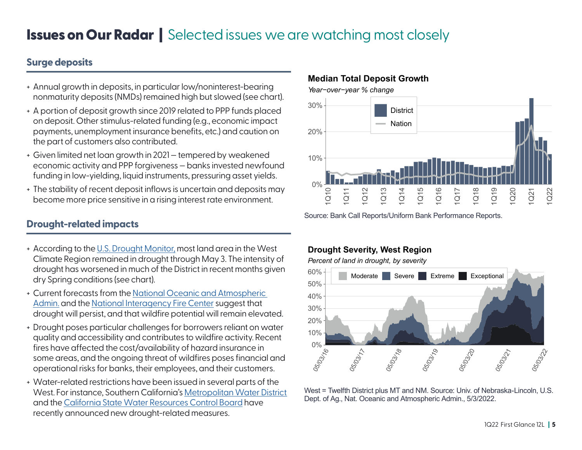#### **Surge deposits**

- + Annual growth in deposits, in particular low/noninterest-bearing nonmaturity deposits (NMDs) remained high but slowed (see chart).
- + A portion of deposit growth since 2019 related to PPP funds placed on deposit. Other stimulus-related funding (e.g., economic impact payments, unemployment insurance benefits, etc.) and caution on the part of customers also contributed.
- + Given limited net loan growth in 2021 tempered by weakened economic activity and PPP forgiveness — banks invested newfound funding in low-yielding, liquid instruments, pressuring asset yields.
- + The stability of recent deposit inflows is uncertain and deposits may become more price sensitive in a rising interest rate environment.

#### **Drought-related impacts**

- + According to the [U.S. Drought Monitor,](https://droughtmonitor.unl.edu/DmData/DataTables.aspx) most land area in the West Climate Region remained in drought through May 3. The intensity of drought has worsened in much of the District in recent months given dry Spring conditions (see chart).
- + Current forecasts from the [National Oceanic and Atmospheric](https://www.cpc.ncep.noaa.gov/index.php)  [Admin.](https://www.cpc.ncep.noaa.gov/index.php) and the [National Interagency Fire Center](https://www.nifc.gov/nicc/predictive/outlooks/monthly_seasonal_outlook.pdf#:~:text=The%20National%20Significant%20Wildland%20Fire%20Potential%20Outlook%20is,fighter%20safety%20and%20effectiveness%2C%20and%20reduce%20firefighting%20costs.) suggest that drought will persist, and that wildfire potential will remain elevated.
- + Drought poses particular challenges for borrowers reliant on water quality and accessibility and contributes to wildfire activity. Recent fires have affected the cost/availability of hazard insurance in some areas, and the ongoing threat of wildfires poses financial and operational risks for banks, their employees, and their customers.
- + Water-related restrictions have been issued in several parts of the West. For instance, Southern California's [Metropolitan Water District](https://www.mwdh2o.com/newsroom-press-releases/metropolitan-cuts-outdoor-watering-to-one-day-a-week-for-six-million-southern-californians/) and the [California State Water Resources Control Board](https://www.waterboards.ca.gov/press_room/press_releases/2022/pr05242022-conservation-emergency-regulations.pdf) have recently announced new drought-related measures.



Source: Bank Call Reports/Uniform Bank Performance Reports.

#### **Drought Severity, West Region**

**Median Total Deposit Growth**

*Percent of land in drought, by severity*



West = Twelfth District plus MT and NM. Source: Univ. of Nebraska-Lincoln, U.S. Dept. of Ag., Nat. Oceanic and Atmospheric Admin., 5/3/2022.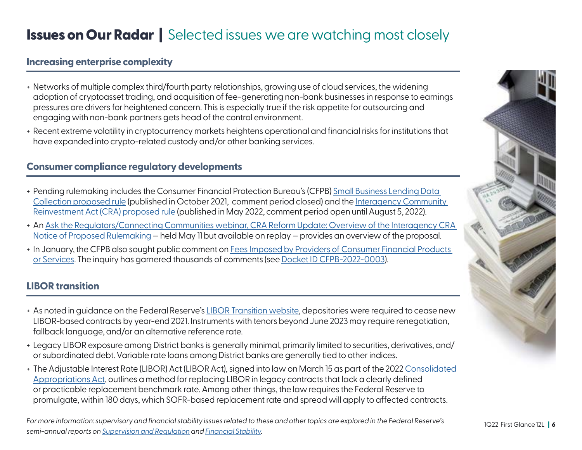#### **Increasing enterprise complexity**

- + Networks of multiple complex third/fourth party relationships, growing use of cloud services, the widening adoption of cryptoasset trading, and acquisition of fee-generating non-bank businesses in response to earnings pressures are drivers for heightened concern. This is especially true if the risk appetite for outsourcing and engaging with non-bank partners gets head of the control environment.
- + Recent extreme volatility in cryptocurrency markets heightens operational and financial risks for institutions that have expanded into crypto-related custody and/or other banking services.

#### **Consumer compliance regulatory developments**

- + Pending rulemaking includes the Consumer Financial Protection Bureau's (CFPB) [Small Business Lending Data](https://www.consumerfinance.gov/rules-policy/rules-under-development/small-business-lending-data-collection-under-equal-credit-opportunity-act-regulation-b/)  [Collection proposed rule](https://www.consumerfinance.gov/rules-policy/rules-under-development/small-business-lending-data-collection-under-equal-credit-opportunity-act-regulation-b/) (published in October 2021, comment period closed) and the [Interagency Community](https://www.federalreserve.gov/consumerscommunities/community-reinvestment-act-proposed-rulemaking.htm)  [Reinvestment Act \(CRA\) proposed rule](https://www.federalreserve.gov/consumerscommunities/community-reinvestment-act-proposed-rulemaking.htm) (published in May 2022, comment period open until August 5, 2022).
- + An [Ask the Regulators/Connecting Communities webinar, CRA Reform Update: Overview of the Interagency CRA](https://bsr.stlouisfed.org/connectingCommunities#104/ask-the-regulators-cra-reform-update-overview-of-the-interagency-cra-notice-of-proposed-rulemaking)  [Notice of Proposed Rulemaking](https://bsr.stlouisfed.org/connectingCommunities#104/ask-the-regulators-cra-reform-update-overview-of-the-interagency-cra-notice-of-proposed-rulemaking) — held May 11 but available on replay — provides an overview of the proposal.
- + In January, the CFPB also sought public comment on [Fees Imposed by Providers of Consumer Financial Products](https://www.consumerfinance.gov/about-us/newsroom/consumer-financial-protection-bureau-launches-initiative-to-save-americans-billions-in-junk-fees/)  [or Services.](https://www.consumerfinance.gov/about-us/newsroom/consumer-financial-protection-bureau-launches-initiative-to-save-americans-billions-in-junk-fees/) The inquiry has garnered thousands of comments (see [Docket ID CFPB-2022-0003](https://www.regulations.gov/docket/CFPB-2022-0003)).

#### **LIBOR transition**

- + As noted in guidance on the Federal Reserve's [LIBOR Transition website,](https://www.federalreserve.gov/supervisionreg/libor-transition.htm) depositories were required to cease new LIBOR-based contracts by year-end 2021. Instruments with tenors beyond June 2023 may require renegotiation, fallback language, and/or an alternative reference rate.
- + Legacy LIBOR exposure among District banks is generally minimal, primarily limited to securities, derivatives, and/ or subordinated debt. Variable rate loans among District banks are generally tied to other indices.
- + The Adjustable Interest Rate (LIBOR) Act (LIBOR Act), signed into law on March 15 as part of the 2022 [Consolidated](https://www.congress.gov/bill/117th-congress/house-bill/2471/text)  [Appropriations Act,](https://www.congress.gov/bill/117th-congress/house-bill/2471/text) outlines a method for replacing LIBOR in legacy contracts that lack a clearly defined or practicable replacement benchmark rate. Among other things, the law requires the Federal Reserve to promulgate, within 180 days, which SOFR-based replacement rate and spread will apply to affected contracts.

*For more information: supervisory and financial stability issues related to these and other topics are explored in the Federal Reserve's semi-annual reports on [Supervision and Regulation](https://www.federalreserve.gov/publications/supervision-and-regulation-report.htm) and [Financial Stability](https://www.federalreserve.gov/publications/financial-stability-report.htm).*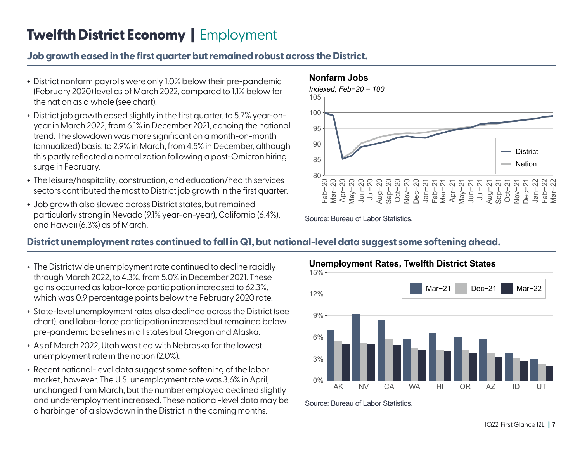## **Twelfth District Economy** | Employment

#### **Job growth eased in the first quarter but remained robust across the District.**

- + District nonfarm payrolls were only 1.0% below their pre-pandemic (February 2020) level as of March 2022, compared to 1.1% below for the nation as a whole (see chart).
- + District job growth eased slightly in the first quarter, to 5.7% year-onyear in March 2022, from 6.1% in December 2021, echoing the national trend. The slowdown was more significant on a month-on-month (annualized) basis: to 2.9% in March, from 4.5% in December, although this partly reflected a normalization following a post-Omicron hiring surge in February.
- + The leisure/hospitality, construction, and education/health services sectors contributed the most to District job growth in the first quarter.
- + Job growth also slowed across District states, but remained particularly strong in Nevada (9.1% year-on-year), California (6.4%), and Hawaii (6.3%) as of March.



**Nonfarm Jobs**



#### **District unemployment rates continued to fall in Q1, but national-level data suggest some softening ahead.**

- + The Districtwide unemployment rate continued to decline rapidly through March 2022, to 4.3%, from 5.0% in December 2021. These gains occurred as labor-force participation increased to 62.3%, which was 0.9 percentage points below the February 2020 rate.
- + State-level unemployment rates also declined across the District (see chart), and labor-force participation increased but remained below pre-pandemic baselines in all states but Oregon and Alaska.
- + As of March 2022, Utah was tied with Nebraska for the lowest unemployment rate in the nation (2.0%).
- + Recent national-level data suggest some softening of the labor market, however. The U.S. unemployment rate was 3.6% in April, unchanged from March, but the number employed declined slightly and underemployment increased. These national-level data may be a harbinger of a slowdown in the District in the coming months.



Source: Bureau of Labor Statistics.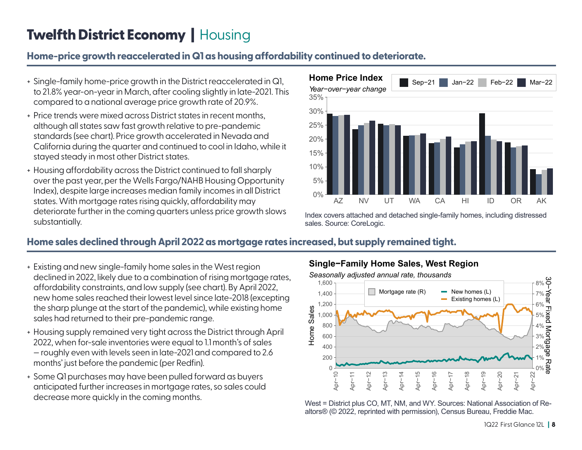## **Twelfth District Economy | Housing**

#### **Home-price growth reaccelerated in Q1 as housing affordability continued to deteriorate.**

- + Single-family home-price growth in the District reaccelerated in Q1, to 21.8% year-on-year in March, after cooling slightly in late-2021. This compared to a national average price growth rate of 20.9%.
- + Price trends were mixed across District states in recent months, although all states saw fast growth relative to pre-pandemic standards (see chart). Price growth accelerated in Nevada and California during the quarter and continued to cool in Idaho, while it stayed steady in most other District states.
- + Housing affordability across the District continued to fall sharply over the past year, per the Wells Fargo/NAHB Housing Opportunity Index), despite large increases median family incomes in all District states. With mortgage rates rising quickly, affordability may deteriorate further in the coming quarters unless price growth slows substantially.



Index covers attached and detached single-family homes, including distressed sales. Source: CoreLogic.

#### **Home sales declined through April 2022 as mortgage rates increased, but supply remained tight.**

- + Existing and new single-family home sales in the West region declined in 2022, likely due to a combination of rising mortgage rates, affordability constraints, and low supply (see chart). By April 2022, new home sales reached their lowest level since late-2018 (excepting the sharp plunge at the start of the pandemic), while existing home sales had returned to their pre-pandemic range.
- + Housing supply remained very tight across the District through April 2022, when for-sale inventories were equal to 1.1 month's of sales — roughly even with levels seen in late-2021 and compared to 2.6 months' just before the pandemic (per Redfin).
- + Some Q1 purchases may have been pulled forward as buyers anticipated further increases in mortgage rates, so sales could decrease more quickly in the coming months.

#### **Single−Family Home Sales, West Region**



West = District plus CO, MT, NM, and WY. Sources: National Association of Realtors® (© 2022, reprinted with permission), Census Bureau, Freddie Mac.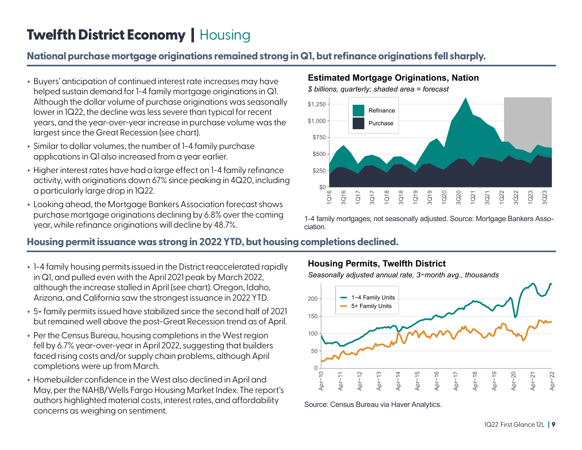## **Twelfth District Economy | Housing**

#### **National purchase mortgage originations remained strong in Q1, but refinance originations fell sharply.**

- + Buyers' anticipation of continued interest rate increases may have helped sustain demand for 1-4 family mortgage originations in Q1. Although the dollar volume of purchase originations was seasonally lower in 1Q22, the decline was less severe than typical for recent years, and the year-over-year increase in purchase volume was the largest since the Great Recession (see chart).
- + Similar to dollar volumes, the number of 1-4 family purchase applications in Q1 also increased from a year earlier.
- + Higher interest rates have had a large effect on 1-4 family refinance activity, with originations down 67% since peaking in 4Q20, including a particularly large drop in 1Q22.
- + Looking ahead, the Mortgage Bankers Association forecast shows purchase mortgage originations declining by 6.8% over the coming year, while refinance originations will decline by 48.7%.

#### **Estimated Mortgage Originations, Nation**



1-4 family mortgages; not seasonally adjusted. Source: Mortgage Bankers Association.

#### **Housing permit issuance was strong in 2022 YTD, but housing completions declined.**

- + 1-4 family housing permits issued in the District reaccelerated rapidly in Q1, and pulled even with the April 2021 peak by March 2022, although the increase stalled in April (see chart). Oregon, Idaho, Arizona, and California saw the strongest issuance in 2022 YTD.
- + 5+ family permits issued have stabilized since the second half of 2021 but remained well above the post-Great Recession trend as of April.
- + Per the Census Bureau, housing completions in the West region fell by 6.7% year-over-year in April 2022, suggesting that builders faced rising costs and/or supply chain problems, although April completions were up from March.
- + Homebuilder confidence in the West also declined in April and May, per the NAHB/Wells Fargo Housing Market Index. The report's authors highlighted material costs, interest rates, and affordability concerns as weighing on sentiment.

#### **Housing Permits, Twelfth District**

*Seasonally adjusted annual rate, 3−month avg., thousands*



Source: Census Bureau via Haver Analytics.

#### 1Q22 First Glance 12L **| 9**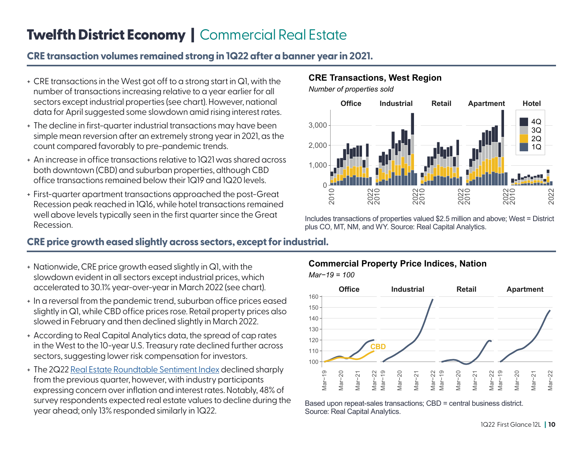## **Twelfth District Economy | Commercial Real Estate**

#### **CRE transaction volumes remained strong in 1Q22 after a banner year in 2021.**

- + CRE transactions in the West got off to a strong start in Q1, with the number of transactions increasing relative to a year earlier for all sectors except industrial properties (see chart). However, national data for April suggested some slowdown amid rising interest rates.
- + The decline in first-quarter industrial transactions may have been simple mean reversion after an extremely strong year in 2021, as the count compared favorably to pre-pandemic trends.
- + An increase in office transactions relative to 1Q21 was shared across both downtown (CBD) and suburban properties, although CBD office transactions remained below their 1Q19 and 1Q20 levels.
- + First-quarter apartment transactions approached the post-Great Recession peak reached in 1Q16, while hotel transactions remained well above levels typically seen in the first quarter since the Great Recession.

#### **CRE price growth eased slightly across sectors, except for industrial.**

- + Nationwide, CRE price growth eased slightly in Q1, with the slowdown evident in all sectors except industrial prices, which accelerated to 30.1% year-over-year in March 2022 (see chart).
- + In a reversal from the pandemic trend, suburban office prices eased slightly in Q1, while CBD office prices rose. Retail property prices also slowed in February and then declined slightly in March 2022.
- + According to Real Capital Analytics data, the spread of cap rates in the West to the 10-year U.S. Treasury rate declined further across sectors, suggesting lower risk compensation for investors.
- + The 2Q22 [Real Estate Roundtable Sentiment Index](https://www.rer.org/media/quarterly-economic-sentiment-survey) declined sharply from the previous quarter, however, with industry participants expressing concern over inflation and interest rates. Notably, 48% of survey respondents expected real estate values to decline during the year ahead; only 13% responded similarly in 1Q22.

#### **CRE Transactions, West Region**





Includes transactions of properties valued \$2.5 million and above; West = District plus CO, MT, NM, and WY. Source: Real Capital Analytics.



Based upon repeat-sales transactions; CBD = central business district. Source: Real Capital Analytics.

#### **Commercial Property Price Indices, Nation**

*Mar−19 = 100*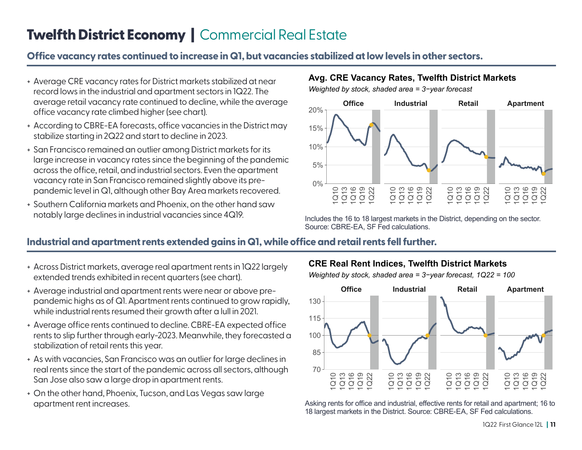## **Twelfth District Economy | Commercial Real Estate**

#### **Office vacancy rates continued to increase in Q1, but vacancies stabilized at low levels in other sectors.**

- + Average CRE vacancy rates for District markets stabilized at near record lows in the industrial and apartment sectors in 1Q22. The average retail vacancy rate continued to decline, while the average office vacancy rate climbed higher (see chart).
- + According to CBRE-EA forecasts, office vacancies in the District may stabilize starting in 2Q22 and start to decline in 2023.
- + San Francisco remained an outlier among District markets for its large increase in vacancy rates since the beginning of the pandemic across the office, retail, and industrial sectors. Even the apartment vacancy rate in San Francisco remained slightly above its prepandemic level in Q1, although other Bay Area markets recovered.
- + Southern California markets and Phoenix, on the other hand saw notably large declines in industrial vacancies since 4Q19.

#### **Avg. CRE Vacancy Rates, Twelfth District Markets**

*Weighted by stock, shaded area = 3−year forecast*



Includes the 16 to 18 largest markets in the District, depending on the sector. Source: CBRE-EA, SF Fed calculations.

#### **Industrial and apartment rents extended gains in Q1, while office and retail rents fell further.**

- + Across District markets, average real apartment rents in 1Q22 largely extended trends exhibited in recent quarters (see chart).
- + Average industrial and apartment rents were near or above prepandemic highs as of Q1. Apartment rents continued to grow rapidly, while industrial rents resumed their growth after a lull in 2021.
- + Average office rents continued to decline. CBRE-EA expected office rents to slip further through early-2023. Meanwhile, they forecasted a stabilization of retail rents this year.
- + As with vacancies, San Francisco was an outlier for large declines in real rents since the start of the pandemic across all sectors, although San Jose also saw a large drop in apartment rents.
- + On the other hand, Phoenix, Tucson, and Las Vegas saw large apartment rent increases.

#### **CRE Real Rent Indices, Twelfth District Markets**

*Weighted by stock, shaded area = 3−year forecast, 1Q22 = 100*



Asking rents for office and industrial, effective rents for retail and apartment; 16 to 18 largest markets in the District. Source: CBRE-EA, SF Fed calculations.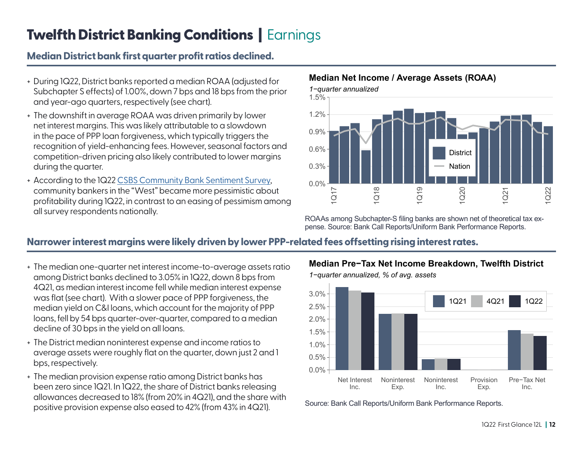## Twelfth District Banking Conditions | Earnings

### **Median District bank first quarter profit ratios declined.**

- + During 1Q22, District banks reported a median ROAA (adjusted for Subchapter S effects) of 1.00%, down 7 bps and 18 bps from the prior and year-ago quarters, respectively (see chart).
- + The downshift in average ROAA was driven primarily by lower net interest margins. This was likely attributable to a slowdown in the pace of PPP loan forgiveness, which typically triggers the recognition of yield-enhancing fees. However, seasonal factors and competition-driven pricing also likely contributed to lower margins during the quarter.
- + According to the 1Q22 [CSBS Community Bank Sentiment Survey,](https://www.csbs.org/cbindex) community bankers in the "West" became more pessimistic about profitability during 1Q22, in contrast to an easing of pessimism among all survey respondents nationally.

#### **Median Net Income / Average Assets (ROAA)**



ROAAs among Subchapter-S filing banks are shown net of theoretical tax expense. Source: Bank Call Reports/Uniform Bank Performance Reports.

#### **Narrower interest margins were likely driven by lower PPP-related fees offsetting rising interest rates.**

- + The median one-quarter net interest income-to-average assets ratio among District banks declined to 3.05% in 1Q22, down 8 bps from 4Q21, as median interest income fell while median interest expense was flat (see chart). With a slower pace of PPP forgiveness, the median yield on C&I loans, which account for the majority of PPP loans, fell by 54 bps quarter-over-quarter, compared to a median decline of 30 bps in the yield on all loans.
- + The District median noninterest expense and income ratios to average assets were roughly flat on the quarter, down just 2 and 1 bps, respectively.
- + The median provision expense ratio among District banks has been zero since 1Q21. In 1Q22, the share of District banks releasing allowances decreased to 18% (from 20% in 4Q21), and the share with positive provision expense also eased to 42% (from 43% in 4Q21).

**Median Pre−Tax Net Income Breakdown, Twelfth District**



Source: Bank Call Reports/Uniform Bank Performance Reports.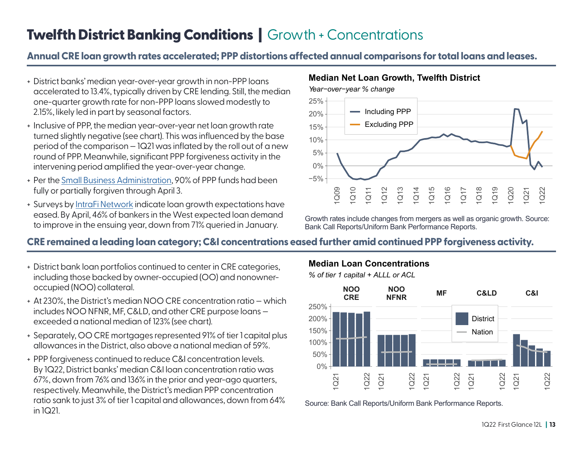## **Twelfth District Banking Conditions | Growth + Concentrations**

#### **Annual CRE loan growth rates accelerated; PPP distortions affected annual comparisons for total loans and leases.**

- + District banks' median year-over-year growth in non-PPP loans accelerated to 13.4%, typically driven by CRE lending. Still, the median one-quarter growth rate for non-PPP loans slowed modestly to 2.15%, likely led in part by seasonal factors.
- + Inclusive of PPP, the median year-over-year net loan growth rate turned slightly negative (see chart). This was influenced by the base period of the comparison — 1Q21 was inflated by the roll out of a new round of PPP. Meanwhile, significant PPP forgiveness activity in the intervening period amplified the year-over-year change.
- + Per the [Small Business Administration](https://www.sba.gov/sites/default/files/2022-04/2022.04.03_Weekly%20Forgiveness%20Report_Public-508.pdf), 90% of PPP funds had been fully or partially forgiven through April 3.
- + Surveys by [IntraFi Network](https://www.intrafi.com/press-insights/bank-survey-reports/) indicate loan growth expectations have eased. By April, 46% of bankers in the West expected loan demand to improve in the ensuing year, down from 71% queried in January.

#### **Median Net Loan Growth, Twelfth District**



Growth rates include changes from mergers as well as organic growth. Source: Bank Call Reports/Uniform Bank Performance Reports.

#### **CRE remained a leading loan category; C&I concentrations eased further amid continued PPP forgiveness activity.**

- + District bank loan portfolios continued to center in CRE categories, including those backed by owner-occupied (OO) and nonowneroccupied (NOO) collateral.
- + At 230%, the District's median NOO CRE concentration ratio which includes NOO NFNR, MF, C&LD, and other CRE purpose loans exceeded a national median of 123% (see chart).
- + Separately, OO CRE mortgages represented 91% of tier 1 capital plus allowances in the District, also above a national median of 59%.
- + PPP forgiveness continued to reduce C&I concentration levels. By 1Q22, District banks' median C&I loan concentration ratio was 67%, down from 76% and 136% in the prior and year-ago quarters, respectively. Meanwhile, the District's median PPP concentration ratio sank to just 3% of tier 1 capital and allowances, down from 64% in 1Q21.

#### **Median Loan Concentrations**

*% of tier 1 capital + ALLL or ACL*



Source: Bank Call Reports/Uniform Bank Performance Reports.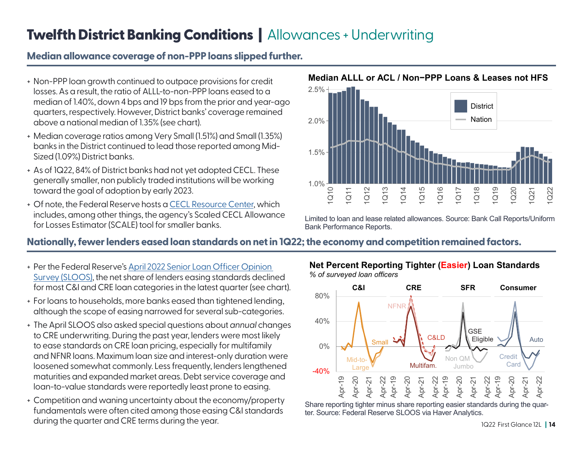## Twelfth District Banking Conditions | Allowances + Underwriting

#### **Median allowance coverage of non-PPP loans slipped further.**

- + Non-PPP loan growth continued to outpace provisions for credit losses. As a result, the ratio of ALLL-to-non-PPP loans eased to a median of 1.40%, down 4 bps and 19 bps from the prior and year-ago quarters, respectively. However, District banks' coverage remained above a national median of 1.35% (see chart).
- + Median coverage ratios among Very Small (1.51%) and Small (1.35%) banks in the District continued to lead those reported among Mid-Sized (1.09%) District banks.
- + As of 1Q22, 84% of District banks had not yet adopted CECL. These generally smaller, non publicly traded institutions will be working toward the goal of adoption by early 2023.
- + Of note, the Federal Reserve hosts a [CECL Resource Center,](https://www.supervisionoutreach.org/cecl) which includes, among other things, the agency's Scaled CECL Allowance for Losses Estimator (SCALE) tool for smaller banks.



**Median ALLL or ACL / Non−PPP Loans & Leases not HFS**

Limited to loan and lease related allowances. Source: Bank Call Reports/Uniform Bank Performance Reports.

#### **Nationally, fewer lenders eased loan standards on net in 1Q22; the economy and competition remained factors.**

- + Per the Federal Reserve's Apri[l 2022 Senior Loan Officer Opinion](https://www.federalreserve.gov/data/sloos.htm)  [Survey \(SLOOS\)](https://www.federalreserve.gov/data/sloos.htm), the net share of lenders easing standards declined for most C&I and CRE loan categories in the latest quarter (see chart).
- + For loans to households, more banks eased than tightened lending, although the scope of easing narrowed for several sub-categories.
- + The April SLOOS also asked special questions about *annual* changes to CRE underwriting. During the past year, lenders were most likely to ease standards on CRE loan pricing, especially for multifamily and NFNR loans. Maximum loan size and interest-only duration were loosened somewhat commonly. Less frequently, lenders lengthened maturities and expanded market areas. Debt service coverage and loan-to-value standards were reportedly least prone to easing.
- + Competition and waning uncertainty about the economy/property fundamentals were often cited among those easing C&I standards during the quarter and CRE terms during the year.



Share reporting tighter minus share reporting easier standards during the quarter. Source: Federal Reserve SLOOS via Haver Analytics.

#### **Net Percent Reporting Tighter (Easier) Loan Standards** *% of surveyed loan officers*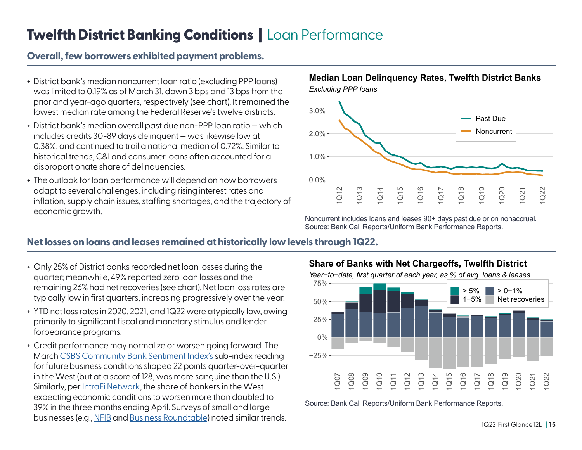## **Twelfth District Banking Conditions | Loan Performance**

#### **Overall, few borrowers exhibited payment problems.**

- + District bank's median noncurrent loan ratio (excluding PPP loans) was limited to 0.19% as of March 31, down 3 bps and 13 bps from the prior and year-ago quarters, respectively (see chart). It remained the lowest median rate among the Federal Reserve's twelve districts.
- + District bank's median overall past due non-PPP loan ratio which includes credits 30-89 days delinquent — was likewise low at 0.38%, and continued to trail a national median of 0.72%. Similar to historical trends, C&I and consumer loans often accounted for a disproportionate share of delinquencies.
- + The outlook for loan performance will depend on how borrowers adapt to several challenges, including rising interest rates and inflation, supply chain issues, staffing shortages, and the trajectory of economic growth.

#### *Excluding PPP loans* **Median Loan Delinquency Rates, Twelfth District Banks**



Noncurrent includes loans and leases 90+ days past due or on nonaccrual. Source: Bank Call Reports/Uniform Bank Performance Reports.

#### **Net losses on loans and leases remained at historically low levels through 1Q22.**

- + Only 25% of District banks recorded net loan losses during the quarter; meanwhile, 49% reported zero loan losses and the remaining 26% had net recoveries (see chart). Net loan loss rates are typically low in first quarters, increasing progressively over the year.
- + YTD net loss rates in 2020, 2021, and 1Q22 were atypically low, owing primarily to significant fiscal and monetary stimulus and lender forbearance programs.
- + Credit performance may normalize or worsen going forward. The March [CSBS Community Bank Sentiment Index's](https://www.csbs.org/newsroom/community-bankers-begin-year-dim-economic-outlook) sub-index reading for future business conditions slipped 22 points quarter-over-quarter in the West (but at a score of 128, was more sanguine than the U.S.). Similarly, per [IntraFi Network](https://www.intrafi.com/press-insights/bank-survey-reports/), the share of bankers in the West expecting economic conditions to worsen more than doubled to 39% in the three months ending April. Surveys of small and large businesses (e.g., [NFIB](https://assets.nfib.com/nfibcom/Final-SBET-Apr-2022.pdf) and [Business Roundtable\)](https://www.businessroundtable.org/media/ceo-economic-outlook-index) noted similar trends.

**Share of Banks with Net Chargeoffs, Twelfth District**





Source: Bank Call Reports/Uniform Bank Performance Reports.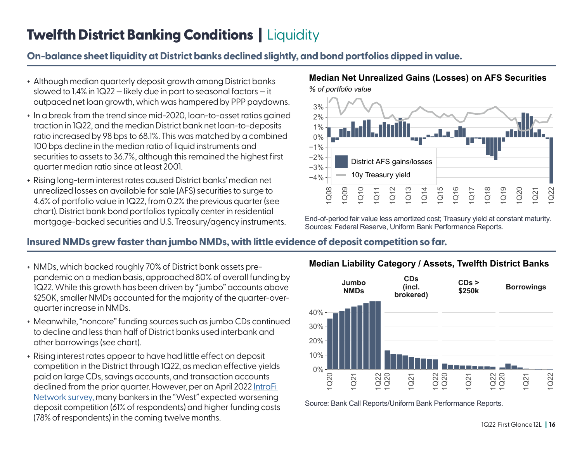## Twelfth District Banking Conditions | Liquidity

#### **On-balance sheet liquidity at District banks declined slightly, and bond portfolios dipped in value.**

- + Although median quarterly deposit growth among District banks slowed to 1.4% in 1Q22 — likely due in part to seasonal factors — it outpaced net loan growth, which was hampered by PPP paydowns.
- + In a break from the trend since mid-2020, loan-to-asset ratios gained traction in 1Q22, and the median District bank net loan-to-deposits ratio increased by 98 bps to 68.1%. This was matched by a combined 100 bps decline in the median ratio of liquid instruments and securities to assets to 36.7%, although this remained the highest first quarter median ratio since at least 2001.
- + Rising long-term interest rates caused District banks' median net unrealized losses on available for sale (AFS) securities to surge to 4.6% of portfolio value in 1Q22, from 0.2% the previous quarter (see chart). District bank bond portfolios typically center in residential mortgage-backed securities and U.S. Treasury/agency instruments.

#### *% of portfolio value* **Median Net Unrealized Gains (Losses) on AFS Securities**



End-of-period fair value less amortized cost; Treasury yield at constant maturity. Sources: Federal Reserve, Uniform Bank Performance Reports.

#### **Insured NMDs grew faster than jumbo NMDs, with little evidence of deposit competition so far.**

- + NMDs, which backed roughly 70% of District bank assets prepandemic on a median basis, approached 80% of overall funding by 1Q22. While this growth has been driven by "jumbo" accounts above \$250K, smaller NMDs accounted for the majority of the quarter-overquarter increase in NMDs.
- + Meanwhile, "noncore" funding sources such as jumbo CDs continued to decline and less than half of District banks used interbank and other borrowings (see chart).
- + Rising interest rates appear to have had little effect on deposit competition in the District through 1Q22, as median effective yields paid on large CDs, savings accounts, and transaction accounts declined from the prior quarter. However, per an April 2022 [IntraFi](https://www.intrafi.com/press-insights/bank-survey-reports/)  [Network survey,](https://www.intrafi.com/press-insights/bank-survey-reports/) many bankers in the "West" expected worsening deposit competition (61% of respondents) and higher funding costs (78% of respondents) in the coming twelve months.



Source: Bank Call Reports/Uniform Bank Performance Reports.

#### **Median Liability Category / Assets, Twelfth District Banks**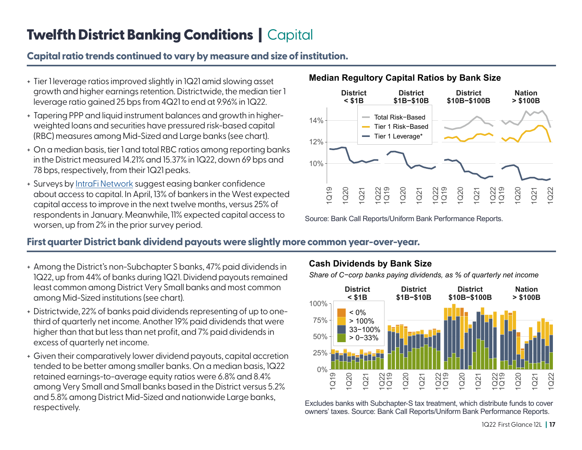## Twelfth District Banking Conditions | Capital

#### **Capital ratio trends continued to vary by measure and size of institution.**

- + Tier 1 leverage ratios improved slightly in 1Q21 amid slowing asset growth and higher earnings retention. Districtwide, the median tier 1 leverage ratio gained 25 bps from 4Q21 to end at 9.96% in 1Q22.
- + Tapering PPP and liquid instrument balances and growth in higherweighted loans and securities have pressured risk-based capital (RBC) measures among Mid-Sized and Large banks (see chart).
- + On a median basis, tier 1 and total RBC ratios among reporting banks in the District measured 14.21% and 15.37% in 1Q22, down 69 bps and 78 bps, respectively, from their 1Q21 peaks.
- + Surveys by [IntraFi Network](https://www.intrafi.com/press-insights/bank-survey-reports/) suggest easing banker confidence about access to capital. In April, 13% of bankers in the West expected capital access to improve in the next twelve months, versus 25% of respondents in January. Meanwhile, 11% expected capital access to worsen, up from 2% in the prior survey period.



Source: Bank Call Reports/Uniform Bank Performance Reports.

#### **First quarter District bank dividend payouts were slightly more common year-over-year.**

- + Among the District's non-Subchapter S banks, 47% paid dividends in 1Q22, up from 44% of banks during 1Q21. Dividend payouts remained least common among District Very Small banks and most common among Mid-Sized institutions (see chart).
- + Districtwide, 22% of banks paid dividends representing of up to onethird of quarterly net income. Another 19% paid dividends that were higher than that but less than net profit, and 7% paid dividends in excess of quarterly net income.
- + Given their comparatively lower dividend payouts, capital accretion tended to be better among smaller banks. On a median basis, 1Q22 retained earnings-to-average equity ratios were 6.8% and 8.4% among Very Small and Small banks based in the District versus 5.2% and 5.8% among District Mid-Sized and nationwide Large banks, respectively.

#### **Cash Dividends by Bank Size**

*Share of C−corp banks paying dividends, as % of quarterly net income*



Excludes banks with Subchapter-S tax treatment, which distribute funds to cover owners' taxes. Source: Bank Call Reports/Uniform Bank Performance Reports.